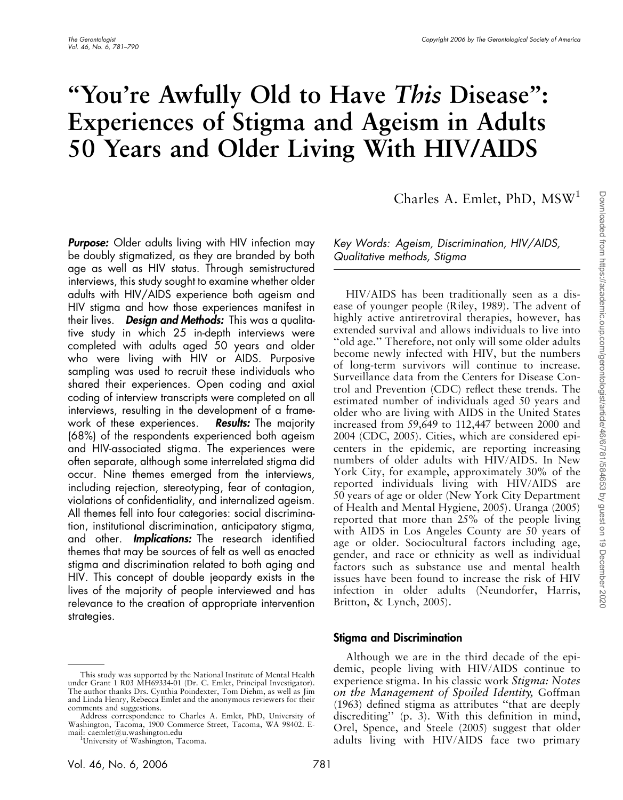# "You're Awfully Old to Have This Disease": Experiences of Stigma and Ageism in Adults 50 Years and Older Living With HIV/AIDS

Charles A. Emlet, PhD, MSW<sup>1</sup>

**Purpose:** Older adults living with HIV infection may be doubly stigmatized, as they are branded by both age as well as HIV status. Through semistructured interviews, this study sought to examine whether older adults with HIV/AIDS experience both ageism and HIV stigma and how those experiences manifest in their lives. **Design and Methods:** This was a qualitative study in which 25 in-depth interviews were completed with adults aged 50 years and older who were living with HIV or AIDS. Purposive sampling was used to recruit these individuals who shared their experiences. Open coding and axial coding of interview transcripts were completed on all interviews, resulting in the development of a framework of these experiences. **Results:** The majority (68%) of the respondents experienced both ageism and HIV-associated stigma. The experiences were often separate, although some interrelated stigma did occur. Nine themes emerged from the interviews, including rejection, stereotyping, fear of contagion, violations of confidentiality, and internalized ageism. All themes fell into four categories: social discrimination, institutional discrimination, anticipatory stigma, and other. **Implications:** The research identified themes that may be sources of felt as well as enacted stigma and discrimination related to both aging and HIV. This concept of double jeopardy exists in the lives of the majority of people interviewed and has relevance to the creation of appropriate intervention strategies.

Key Words: Ageism, Discrimination, HIV/AIDS, Qualitative methods, Stigma

HIV/AIDS has been traditionally seen as a disease of younger people (Riley, 1989). The advent of highly active antiretroviral therapies, however, has extended survival and allows individuals to live into ''old age.'' Therefore, not only will some older adults become newly infected with HIV, but the numbers of long-term survivors will continue to increase. Surveillance data from the Centers for Disease Control and Prevention (CDC) reflect these trends. The estimated number of individuals aged 50 years and older who are living with AIDS in the United States increased from 59,649 to 112,447 between 2000 and 2004 (CDC, 2005). Cities, which are considered epicenters in the epidemic, are reporting increasing numbers of older adults with HIV/AIDS. In New York City, for example, approximately 30% of the reported individuals living with HIV/AIDS are 50 years of age or older (New York City Department of Health and Mental Hygiene, 2005). Uranga (2005) reported that more than 25% of the people living with AIDS in Los Angeles County are 50 years of age or older. Sociocultural factors including age, gender, and race or ethnicity as well as individual factors such as substance use and mental health issues have been found to increase the risk of HIV infection in older adults (Neundorfer, Harris, Britton, & Lynch, 2005).

## Stigma and Discrimination

Although we are in the third decade of the epidemic, people living with HIV/AIDS continue to experience stigma. In his classic work Stigma: Notes on the Management of Spoiled Identity, Goffman (1963) defined stigma as attributes ''that are deeply discrediting'' (p. 3). With this definition in mind, Orel, Spence, and Steele (2005) suggest that older adults living with HIV/AIDS face two primary

This study was supported by the National Institute of Mental Health under Grant 1 R03 MH69334-01 (Dr. C. Emlet, Principal Investigator). The author thanks Drs. Cynthia Poindexter, Tom Diehm, as well as Jim and Linda Henry, Rebecca Emlet and the anonymous reviewers for their comments and suggestions.

Address correspondence to Charles A. Emlet, PhD, University of Washington, Tacoma, 1900 Commerce Street, Tacoma, WA 98402. Email: caemlet@u.washington.edu <sup>1</sup>

<sup>&</sup>lt;sup>1</sup>University of Washington, Tacoma.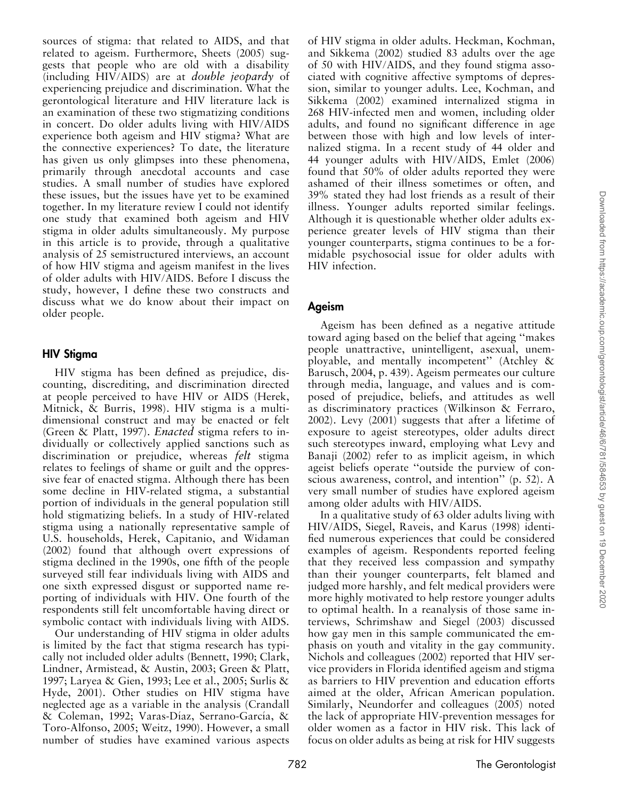sources of stigma: that related to AIDS, and that related to ageism. Furthermore, Sheets (2005) suggests that people who are old with a disability (including HIV/AIDS) are at double jeopardy of experiencing prejudice and discrimination. What the gerontological literature and HIV literature lack is an examination of these two stigmatizing conditions in concert. Do older adults living with HIV/AIDS experience both ageism and HIV stigma? What are the connective experiences? To date, the literature has given us only glimpses into these phenomena, primarily through anecdotal accounts and case studies. A small number of studies have explored these issues, but the issues have yet to be examined together. In my literature review I could not identify one study that examined both ageism and HIV stigma in older adults simultaneously. My purpose in this article is to provide, through a qualitative analysis of 25 semistructured interviews, an account of how HIV stigma and ageism manifest in the lives of older adults with HIV/AIDS. Before I discuss the study, however, I define these two constructs and discuss what we do know about their impact on older people.

## HIV Stigma

HIV stigma has been defined as prejudice, discounting, discrediting, and discrimination directed at people perceived to have HIV or AIDS (Herek, Mitnick, & Burris, 1998). HIV stigma is a multidimensional construct and may be enacted or felt (Green & Platt, 1997). Enacted stigma refers to individually or collectively applied sanctions such as discrimination or prejudice, whereas *felt* stigma relates to feelings of shame or guilt and the oppressive fear of enacted stigma. Although there has been some decline in HIV-related stigma, a substantial portion of individuals in the general population still hold stigmatizing beliefs. In a study of HIV-related stigma using a nationally representative sample of U.S. households, Herek, Capitanio, and Widaman (2002) found that although overt expressions of stigma declined in the 1990s, one fifth of the people surveyed still fear individuals living with AIDS and one sixth expressed disgust or supported name reporting of individuals with HIV. One fourth of the respondents still felt uncomfortable having direct or symbolic contact with individuals living with AIDS.

Our understanding of HIV stigma in older adults is limited by the fact that stigma research has typically not included older adults (Bennett, 1990; Clark, Lindner, Armistead, & Austin, 2003; Green & Platt, 1997; Laryea & Gien, 1993; Lee et al., 2005; Surlis & Hyde, 2001). Other studies on HIV stigma have neglected age as a variable in the analysis (Crandall & Coleman, 1992; Varas-Díaz, Serrano-García, & Toro-Alfonso, 2005; Weitz, 1990). However, a small number of studies have examined various aspects of HIV stigma in older adults. Heckman, Kochman, and Sikkema (2002) studied 83 adults over the age of 50 with HIV/AIDS, and they found stigma associated with cognitive affective symptoms of depression, similar to younger adults. Lee, Kochman, and Sikkema (2002) examined internalized stigma in 268 HIV-infected men and women, including older adults, and found no significant difference in age between those with high and low levels of internalized stigma. In a recent study of 44 older and 44 younger adults with HIV/AIDS, Emlet (2006) found that 50% of older adults reported they were ashamed of their illness sometimes or often, and 39% stated they had lost friends as a result of their illness. Younger adults reported similar feelings. Although it is questionable whether older adults experience greater levels of HIV stigma than their younger counterparts, stigma continues to be a formidable psychosocial issue for older adults with HIV infection.

## Ageism

Ageism has been defined as a negative attitude toward aging based on the belief that ageing ''makes people unattractive, unintelligent, asexual, unemployable, and mentally incompetent'' (Atchley & Barusch, 2004, p. 439). Ageism permeates our culture through media, language, and values and is composed of prejudice, beliefs, and attitudes as well as discriminatory practices (Wilkinson & Ferraro, 2002). Levy (2001) suggests that after a lifetime of exposure to ageist stereotypes, older adults direct such stereotypes inward, employing what Levy and Banaji (2002) refer to as implicit ageism, in which ageist beliefs operate ''outside the purview of conscious awareness, control, and intention'' (p. 52). A very small number of studies have explored ageism among older adults with HIV/AIDS.

In a qualitative study of 63 older adults living with HIV/AIDS, Siegel, Raveis, and Karus (1998) identified numerous experiences that could be considered examples of ageism. Respondents reported feeling that they received less compassion and sympathy than their younger counterparts, felt blamed and judged more harshly, and felt medical providers were more highly motivated to help restore younger adults to optimal health. In a reanalysis of those same interviews, Schrimshaw and Siegel (2003) discussed how gay men in this sample communicated the emphasis on youth and vitality in the gay community. Nichols and colleagues (2002) reported that HIV service providers in Florida identified ageism and stigma as barriers to HIV prevention and education efforts aimed at the older, African American population. Similarly, Neundorfer and colleagues (2005) noted the lack of appropriate HIV-prevention messages for older women as a factor in HIV risk. This lack of focus on older adults as being at risk for HIV suggests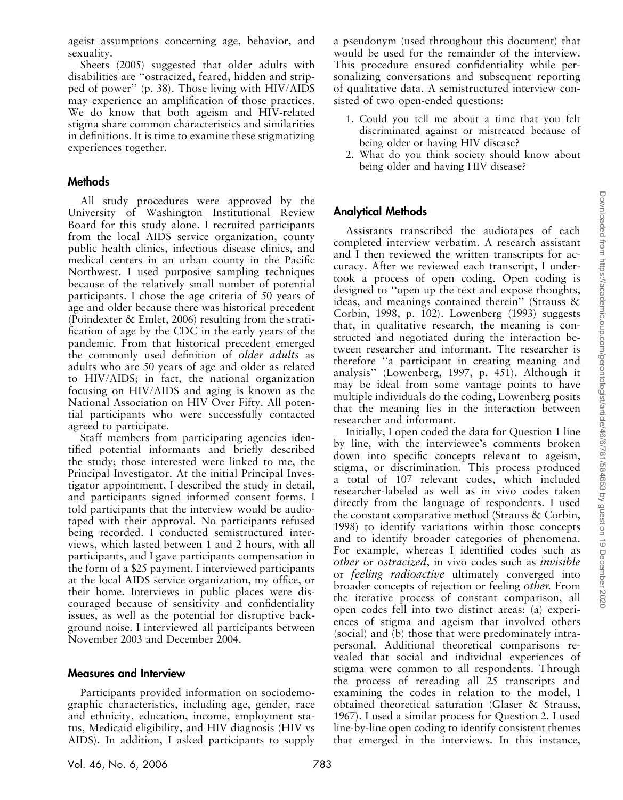ageist assumptions concerning age, behavior, and sexuality.

Sheets (2005) suggested that older adults with disabilities are ''ostracized, feared, hidden and stripped of power'' (p. 38). Those living with HIV/AIDS may experience an amplification of those practices. We do know that both ageism and HIV-related stigma share common characteristics and similarities in definitions. It is time to examine these stigmatizing experiences together.

## **Methods**

All study procedures were approved by the University of Washington Institutional Review Board for this study alone. I recruited participants from the local AIDS service organization, county public health clinics, infectious disease clinics, and medical centers in an urban county in the Pacific Northwest. I used purposive sampling techniques because of the relatively small number of potential participants. I chose the age criteria of 50 years of age and older because there was historical precedent (Poindexter & Emlet, 2006) resulting from the stratification of age by the CDC in the early years of the pandemic. From that historical precedent emerged the commonly used definition of older adults as adults who are 50 years of age and older as related to HIV/AIDS; in fact, the national organization focusing on HIV/AIDS and aging is known as the National Association on HIV Over Fifty. All potential participants who were successfully contacted agreed to participate.

Staff members from participating agencies identified potential informants and briefly described the study; those interested were linked to me, the Principal Investigator. At the initial Principal Investigator appointment, I described the study in detail, and participants signed informed consent forms. I told participants that the interview would be audiotaped with their approval. No participants refused being recorded. I conducted semistructured interviews, which lasted between 1 and 2 hours, with all participants, and I gave participants compensation in the form of a \$25 payment. I interviewed participants at the local AIDS service organization, my office, or their home. Interviews in public places were discouraged because of sensitivity and confidentiality issues, as well as the potential for disruptive background noise. I interviewed all participants between November 2003 and December 2004.

#### Measures and Interview

Participants provided information on sociodemographic characteristics, including age, gender, race and ethnicity, education, income, employment status, Medicaid eligibility, and HIV diagnosis (HIV vs AIDS). In addition, I asked participants to supply a pseudonym (used throughout this document) that would be used for the remainder of the interview. This procedure ensured confidentiality while personalizing conversations and subsequent reporting of qualitative data. A semistructured interview consisted of two open-ended questions:

- 1. Could you tell me about a time that you felt discriminated against or mistreated because of being older or having HIV disease?
- 2. What do you think society should know about being older and having HIV disease?

## Analytical Methods

Assistants transcribed the audiotapes of each completed interview verbatim. A research assistant and I then reviewed the written transcripts for accuracy. After we reviewed each transcript, I undertook a process of open coding. Open coding is designed to ''open up the text and expose thoughts, ideas, and meanings contained therein'' (Strauss & Corbin, 1998, p. 102). Lowenberg (1993) suggests that, in qualitative research, the meaning is constructed and negotiated during the interaction between researcher and informant. The researcher is therefore ''a participant in creating meaning and analysis'' (Lowenberg, 1997, p. 451). Although it may be ideal from some vantage points to have multiple individuals do the coding, Lowenberg posits that the meaning lies in the interaction between researcher and informant.

Initially, I open coded the data for Question 1 line by line, with the interviewee's comments broken down into specific concepts relevant to ageism, stigma, or discrimination. This process produced a total of 107 relevant codes, which included researcher-labeled as well as in vivo codes taken directly from the language of respondents. I used the constant comparative method (Strauss & Corbin, 1998) to identify variations within those concepts and to identify broader categories of phenomena. For example, whereas I identified codes such as other or ostracized, in vivo codes such as invisible or *feeling radioactive* ultimately converged into broader concepts of rejection or feeling other. From the iterative process of constant comparison, all open codes fell into two distinct areas: (a) experiences of stigma and ageism that involved others (social) and (b) those that were predominately intrapersonal. Additional theoretical comparisons revealed that social and individual experiences of stigma were common to all respondents. Through the process of rereading all 25 transcripts and examining the codes in relation to the model, I obtained theoretical saturation (Glaser & Strauss, 1967). I used a similar process for Question 2. I used line-by-line open coding to identify consistent themes that emerged in the interviews. In this instance,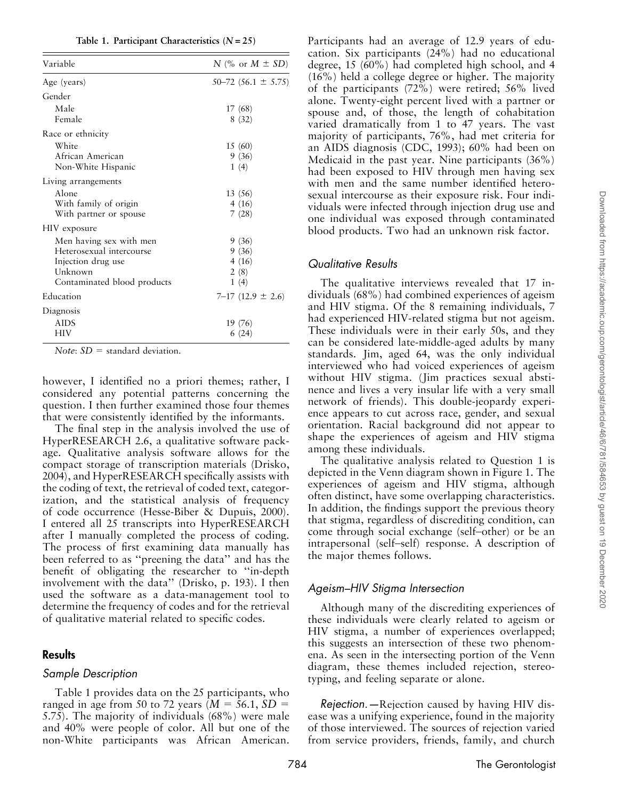Table 1. Participant Characteristics  $(N = 25)$ 

| Variable                    | N (% or $M \pm SD$ )        |
|-----------------------------|-----------------------------|
| Age (years)                 | $50 - 72$ (56.1 $\pm$ 5.75) |
| Gender                      |                             |
| Male                        | 17 (68)                     |
| Female                      | 8(32)                       |
| Race or ethnicity           |                             |
| White                       | 15 (60)                     |
| African American            | 9(36)                       |
| Non-White Hispanic          | 1(4)                        |
| Living arrangements         |                             |
| Alone                       | 13 (56)                     |
| With family of origin       | 4(16)                       |
| With partner or spouse      | 7(28)                       |
| HIV exposure                |                             |
| Men having sex with men     | 9(36)                       |
| Heterosexual intercourse    | 9(36)                       |
| Injection drug use          | 4(16)                       |
| Unknown                     | 2(8)                        |
| Contaminated blood products | 1(4)                        |
| Education                   | $7-17$ (12.9 $\pm$ 2.6)     |
| Diagnosis                   |                             |
| <b>AIDS</b>                 | 19 (76)                     |
| HIV                         | 6(24)                       |

Note:  $SD =$  standard deviation.

however, I identified no a priori themes; rather, I considered any potential patterns concerning the question. I then further examined those four themes that were consistently identified by the informants.

The final step in the analysis involved the use of HyperRESEARCH 2.6, a qualitative software package. Qualitative analysis software allows for the compact storage of transcription materials (Drisko, 2004), and HyperRESEARCH specifically assists with the coding of text, the retrieval of coded text, categorization, and the statistical analysis of frequency of code occurrence (Hesse-Biber & Dupuis, 2000). I entered all 25 transcripts into HyperRESEARCH after I manually completed the process of coding. The process of first examining data manually has been referred to as ''preening the data'' and has the benefit of obligating the researcher to ''in-depth involvement with the data'' (Drisko, p. 193). I then used the software as a data-management tool to determine the frequency of codes and for the retrieval of qualitative material related to specific codes.

## **Results**

### Sample Description

Table 1 provides data on the 25 participants, who ranged in age from 50 to 72 years ( $M = 56.1$ ,  $SD =$ 5.75). The majority of individuals (68%) were male and 40% were people of color. All but one of the non-White participants was African American. Participants had an average of 12.9 years of education. Six participants (24%) had no educational degree, 15 (60%) had completed high school, and 4 (16%) held a college degree or higher. The majority of the participants (72%) were retired; 56% lived alone. Twenty-eight percent lived with a partner or spouse and, of those, the length of cohabitation varied dramatically from 1 to 47 years. The vast majority of participants, 76%, had met criteria for an AIDS diagnosis (CDC, 1993); 60% had been on Medicaid in the past year. Nine participants (36%) had been exposed to HIV through men having sex with men and the same number identified heterosexual intercourse as their exposure risk. Four individuals were infected through injection drug use and one individual was exposed through contaminated blood products. Two had an unknown risk factor.

## Qualitative Results

The qualitative interviews revealed that 17 individuals (68%) had combined experiences of ageism and HIV stigma. Of the 8 remaining individuals, 7 had experienced HIV-related stigma but not ageism. These individuals were in their early 50s, and they can be considered late-middle-aged adults by many standards. Jim, aged 64, was the only individual interviewed who had voiced experiences of ageism without HIV stigma. (Jim practices sexual abstinence and lives a very insular life with a very small network of friends). This double-jeopardy experience appears to cut across race, gender, and sexual orientation. Racial background did not appear to shape the experiences of ageism and HIV stigma among these individuals.

The qualitative analysis related to Question 1 is depicted in the Venn diagram shown in Figure 1. The experiences of ageism and HIV stigma, although often distinct, have some overlapping characteristics. In addition, the findings support the previous theory that stigma, regardless of discrediting condition, can come through social exchange (self–other) or be an intrapersonal (self–self) response. A description of the major themes follows.

## Ageism–HIV Stigma Intersection

Although many of the discrediting experiences of these individuals were clearly related to ageism or HIV stigma, a number of experiences overlapped; this suggests an intersection of these two phenomena. As seen in the intersecting portion of the Venn diagram, these themes included rejection, stereotyping, and feeling separate or alone.

Rejection.—Rejection caused by having HIV disease was a unifying experience, found in the majority of those interviewed. The sources of rejection varied from service providers, friends, family, and church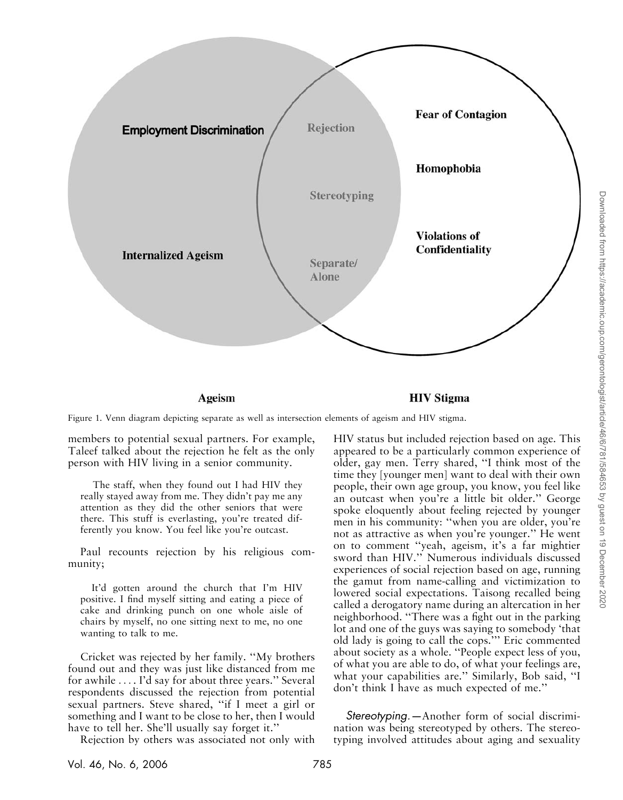

#### Ageism

#### **HIV** Stigma

Figure 1. Venn diagram depicting separate as well as intersection elements of ageism and HIV stigma.

members to potential sexual partners. For example, Taleef talked about the rejection he felt as the only person with HIV living in a senior community.

The staff, when they found out I had HIV they really stayed away from me. They didn't pay me any attention as they did the other seniors that were there. This stuff is everlasting, you're treated differently you know. You feel like you're outcast.

Paul recounts rejection by his religious community;

It'd gotten around the church that I'm HIV positive. I find myself sitting and eating a piece of cake and drinking punch on one whole aisle of chairs by myself, no one sitting next to me, no one wanting to talk to me.

Cricket was rejected by her family. ''My brothers found out and they was just like distanced from me for awhile ... . I'd say for about three years.'' Several respondents discussed the rejection from potential sexual partners. Steve shared, ''if I meet a girl or something and I want to be close to her, then I would have to tell her. She'll usually say forget it.''

Rejection by others was associated not only with

HIV status but included rejection based on age. This appeared to be a particularly common experience of older, gay men. Terry shared, ''I think most of the time they [younger men] want to deal with their own people, their own age group, you know, you feel like an outcast when you're a little bit older.'' George spoke eloquently about feeling rejected by younger men in his community: ''when you are older, you're not as attractive as when you're younger.'' He went on to comment ''yeah, ageism, it's a far mightier sword than HIV.'' Numerous individuals discussed experiences of social rejection based on age, running the gamut from name-calling and victimization to lowered social expectations. Taisong recalled being called a derogatory name during an altercation in her neighborhood. ''There was a fight out in the parking lot and one of the guys was saying to somebody 'that old lady is going to call the cops.''' Eric commented about society as a whole. ''People expect less of you, of what you are able to do, of what your feelings are, what your capabilities are.'' Similarly, Bob said, ''I don't think I have as much expected of me.''

Stereotyping.—Another form of social discrimination was being stereotyped by others. The stereotyping involved attitudes about aging and sexuality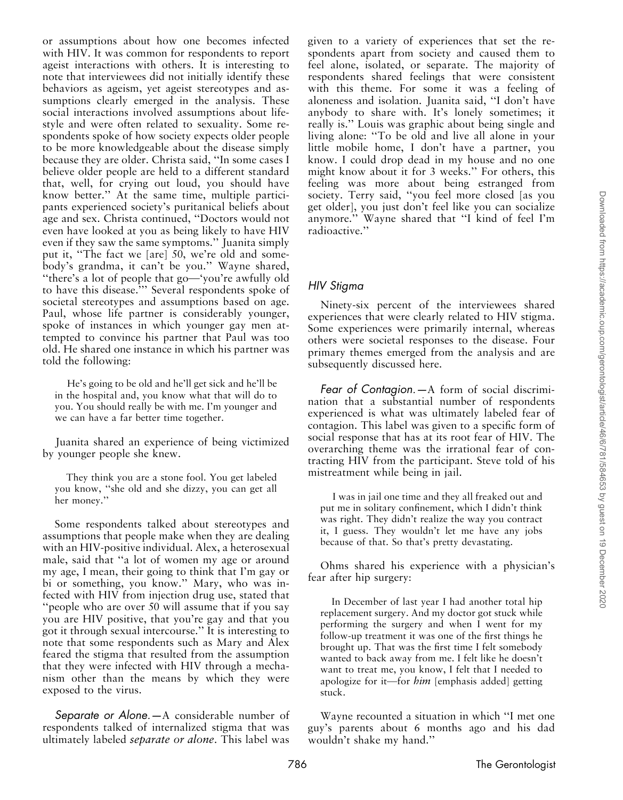Downloaded from https://academic.oup.com/gerontologist/article/46/6/781/584653 by guest on 19 December 2020 Downloaded from https://academic.oup.com/gerontologist/article/46/6/781/584653 by guest on 19 December 2020

or assumptions about how one becomes infected with HIV. It was common for respondents to report ageist interactions with others. It is interesting to note that interviewees did not initially identify these behaviors as ageism, yet ageist stereotypes and assumptions clearly emerged in the analysis. These social interactions involved assumptions about lifestyle and were often related to sexuality. Some respondents spoke of how society expects older people to be more knowledgeable about the disease simply because they are older. Christa said, ''In some cases I believe older people are held to a different standard that, well, for crying out loud, you should have know better.'' At the same time, multiple participants experienced society's puritanical beliefs about age and sex. Christa continued, ''Doctors would not even have looked at you as being likely to have HIV even if they saw the same symptoms.'' Juanita simply put it, ''The fact we [are] 50, we're old and somebody's grandma, it can't be you.'' Wayne shared, ''there's a lot of people that go—'you're awfully old to have this disease.''' Several respondents spoke of societal stereotypes and assumptions based on age. Paul, whose life partner is considerably younger, spoke of instances in which younger gay men attempted to convince his partner that Paul was too old. He shared one instance in which his partner was told the following:

He's going to be old and he'll get sick and he'll be in the hospital and, you know what that will do to you. You should really be with me. I'm younger and we can have a far better time together.

Juanita shared an experience of being victimized by younger people she knew.

They think you are a stone fool. You get labeled you know, ''she old and she dizzy, you can get all her money.''

Some respondents talked about stereotypes and assumptions that people make when they are dealing with an HIV-positive individual. Alex, a heterosexual male, said that ''a lot of women my age or around my age, I mean, their going to think that I'm gay or bi or something, you know.'' Mary, who was infected with HIV from injection drug use, stated that ''people who are over 50 will assume that if you say you are HIV positive, that you're gay and that you got it through sexual intercourse.'' It is interesting to note that some respondents such as Mary and Alex feared the stigma that resulted from the assumption that they were infected with HIV through a mechanism other than the means by which they were exposed to the virus.

Separate or Alone.—A considerable number of respondents talked of internalized stigma that was ultimately labeled separate or alone. This label was given to a variety of experiences that set the respondents apart from society and caused them to feel alone, isolated, or separate. The majority of respondents shared feelings that were consistent with this theme. For some it was a feeling of aloneness and isolation. Juanita said, ''I don't have anybody to share with. It's lonely sometimes; it really is.'' Louis was graphic about being single and living alone: ''To be old and live all alone in your little mobile home, I don't have a partner, you know. I could drop dead in my house and no one might know about it for 3 weeks.'' For others, this feeling was more about being estranged from society. Terry said, ''you feel more closed [as you get older], you just don't feel like you can socialize anymore.'' Wayne shared that ''I kind of feel I'm radioactive.''

## HIV Stigma

Ninety-six percent of the interviewees shared experiences that were clearly related to HIV stigma. Some experiences were primarily internal, whereas others were societal responses to the disease. Four primary themes emerged from the analysis and are subsequently discussed here.

Fear of Contagion.—A form of social discrimination that a substantial number of respondents experienced is what was ultimately labeled fear of contagion. This label was given to a specific form of social response that has at its root fear of HIV. The overarching theme was the irrational fear of contracting HIV from the participant. Steve told of his mistreatment while being in jail.

I was in jail one time and they all freaked out and put me in solitary confinement, which I didn't think was right. They didn't realize the way you contract it, I guess. They wouldn't let me have any jobs because of that. So that's pretty devastating.

Ohms shared his experience with a physician's fear after hip surgery:

In December of last year I had another total hip replacement surgery. And my doctor got stuck while performing the surgery and when I went for my follow-up treatment it was one of the first things he brought up. That was the first time I felt somebody wanted to back away from me. I felt like he doesn't want to treat me, you know, I felt that I needed to apologize for it-for him [emphasis added] getting stuck.

Wayne recounted a situation in which ''I met one guy's parents about 6 months ago and his dad wouldn't shake my hand.''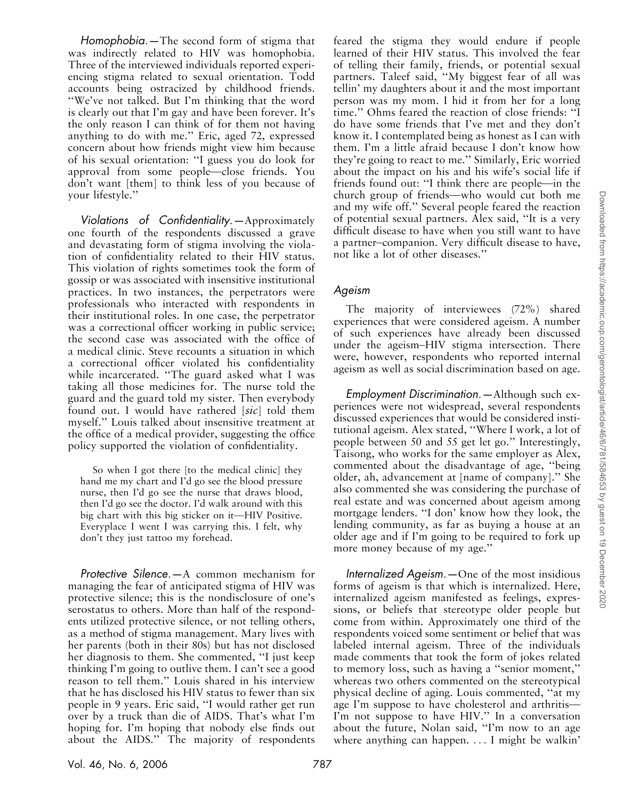Homophobia.—The second form of stigma that was indirectly related to HIV was homophobia. Three of the interviewed individuals reported experiencing stigma related to sexual orientation. Todd accounts being ostracized by childhood friends. ''We've not talked. But I'm thinking that the word is clearly out that I'm gay and have been forever. It's the only reason I can think of for them not having anything to do with me.'' Eric, aged 72, expressed concern about how friends might view him because of his sexual orientation: ''I guess you do look for approval from some people—close friends. You don't want [them] to think less of you because of your lifestyle.''

Violations of Confidentiality.—Approximately one fourth of the respondents discussed a grave and devastating form of stigma involving the violation of confidentiality related to their HIV status. This violation of rights sometimes took the form of gossip or was associated with insensitive institutional practices. In two instances, the perpetrators were professionals who interacted with respondents in their institutional roles. In one case, the perpetrator was a correctional officer working in public service; the second case was associated with the office of a medical clinic. Steve recounts a situation in which a correctional officer violated his confidentiality while incarcerated. ''The guard asked what I was taking all those medicines for. The nurse told the guard and the guard told my sister. Then everybody found out. I would have rathered [sic] told them myself.'' Louis talked about insensitive treatment at the office of a medical provider, suggesting the office policy supported the violation of confidentiality.

So when I got there [to the medical clinic] they hand me my chart and I'd go see the blood pressure nurse, then I'd go see the nurse that draws blood, then I'd go see the doctor. I'd walk around with this big chart with this big sticker on it—HIV Positive. Everyplace I went I was carrying this. I felt, why don't they just tattoo my forehead.

Protective Silence.—A common mechanism for managing the fear of anticipated stigma of HIV was protective silence; this is the nondisclosure of one's serostatus to others. More than half of the respondents utilized protective silence, or not telling others, as a method of stigma management. Mary lives with her parents (both in their 80s) but has not disclosed her diagnosis to them. She commented, ''I just keep thinking I'm going to outlive them. I can't see a good reason to tell them.'' Louis shared in his interview that he has disclosed his HIV status to fewer than six people in 9 years. Eric said, ''I would rather get run over by a truck than die of AIDS. That's what I'm hoping for. I'm hoping that nobody else finds out about the AIDS.'' The majority of respondents

feared the stigma they would endure if people learned of their HIV status. This involved the fear of telling their family, friends, or potential sexual partners. Taleef said, ''My biggest fear of all was tellin' my daughters about it and the most important person was my mom. I hid it from her for a long time.'' Ohms feared the reaction of close friends: ''I do have some friends that I've met and they don't know it. I contemplated being as honest as I can with them. I'm a little afraid because I don't know how they're going to react to me.'' Similarly, Eric worried about the impact on his and his wife's social life if friends found out: ''I think there are people—in the church group of friends—who would cut both me and my wife off.'' Several people feared the reaction of potential sexual partners. Alex said, ''It is a very difficult disease to have when you still want to have a partner–companion. Very difficult disease to have, not like a lot of other diseases.''

## Ageism

The majority of interviewees (72%) shared experiences that were considered ageism. A number of such experiences have already been discussed under the ageism–HIV stigma intersection. There were, however, respondents who reported internal ageism as well as social discrimination based on age.

Employment Discrimination.—Although such experiences were not widespread, several respondents discussed experiences that would be considered institutional ageism. Alex stated, ''Where I work, a lot of people between 50 and 55 get let go.'' Interestingly, Taisong, who works for the same employer as Alex, commented about the disadvantage of age, ''being older, ah, advancement at [name of company].'' She also commented she was considering the purchase of real estate and was concerned about ageism among mortgage lenders. ''I don' know how they look, the lending community, as far as buying a house at an older age and if I'm going to be required to fork up more money because of my age.''

Internalized Ageism.—One of the most insidious forms of ageism is that which is internalized. Here, internalized ageism manifested as feelings, expressions, or beliefs that stereotype older people but come from within. Approximately one third of the respondents voiced some sentiment or belief that was labeled internal ageism. Three of the individuals made comments that took the form of jokes related to memory loss, such as having a ''senior moment,'' whereas two others commented on the stereotypical physical decline of aging. Louis commented, ''at my age I'm suppose to have cholesterol and arthritis— I'm not suppose to have HIV.'' In a conversation about the future, Nolan said, ''I'm now to an age where anything can happen. ... I might be walkin'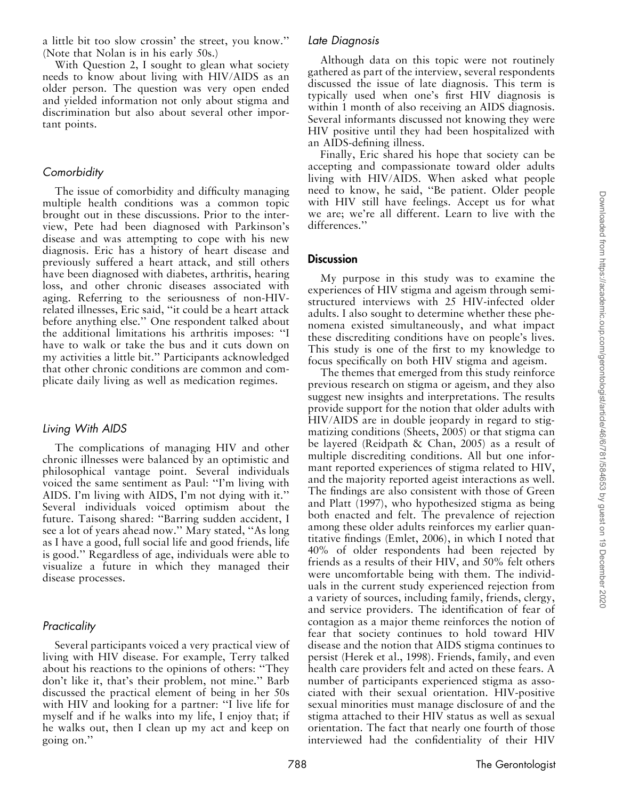a little bit too slow crossin' the street, you know.'' (Note that Nolan is in his early 50s.)

With Question 2, I sought to glean what society needs to know about living with HIV/AIDS as an older person. The question was very open ended and yielded information not only about stigma and discrimination but also about several other important points.

### **Comorbidity**

The issue of comorbidity and difficulty managing multiple health conditions was a common topic brought out in these discussions. Prior to the interview, Pete had been diagnosed with Parkinson's disease and was attempting to cope with his new diagnosis. Eric has a history of heart disease and previously suffered a heart attack, and still others have been diagnosed with diabetes, arthritis, hearing loss, and other chronic diseases associated with aging. Referring to the seriousness of non-HIVrelated illnesses, Eric said, ''it could be a heart attack before anything else.'' One respondent talked about the additional limitations his arthritis imposes: ''I have to walk or take the bus and it cuts down on my activities a little bit.'' Participants acknowledged that other chronic conditions are common and complicate daily living as well as medication regimes.

#### Living With AIDS

The complications of managing HIV and other chronic illnesses were balanced by an optimistic and philosophical vantage point. Several individuals voiced the same sentiment as Paul: ''I'm living with AIDS. I'm living with AIDS, I'm not dying with it.'' Several individuals voiced optimism about the future. Taisong shared: ''Barring sudden accident, I see a lot of years ahead now.'' Mary stated, ''As long as I have a good, full social life and good friends, life is good.'' Regardless of age, individuals were able to visualize a future in which they managed their disease processes.

#### **Practicality**

Several participants voiced a very practical view of living with HIV disease. For example, Terry talked about his reactions to the opinions of others: ''They don't like it, that's their problem, not mine.'' Barb discussed the practical element of being in her 50s with HIV and looking for a partner: "I live life for myself and if he walks into my life, I enjoy that; if he walks out, then I clean up my act and keep on going on.''

## Late Diagnosis

Although data on this topic were not routinely gathered as part of the interview, several respondents discussed the issue of late diagnosis. This term is typically used when one's first HIV diagnosis is within 1 month of also receiving an AIDS diagnosis. Several informants discussed not knowing they were HIV positive until they had been hospitalized with an AIDS-defining illness.

Finally, Eric shared his hope that society can be accepting and compassionate toward older adults living with HIV/AIDS. When asked what people need to know, he said, ''Be patient. Older people with HIV still have feelings. Accept us for what we are; we're all different. Learn to live with the differences.''

#### **Discussion**

My purpose in this study was to examine the experiences of HIV stigma and ageism through semistructured interviews with 25 HIV-infected older adults. I also sought to determine whether these phenomena existed simultaneously, and what impact these discrediting conditions have on people's lives. This study is one of the first to my knowledge to focus specifically on both HIV stigma and ageism.

The themes that emerged from this study reinforce previous research on stigma or ageism, and they also suggest new insights and interpretations. The results provide support for the notion that older adults with HIV/AIDS are in double jeopardy in regard to stigmatizing conditions (Sheets, 2005) or that stigma can be layered (Reidpath & Chan, 2005) as a result of multiple discrediting conditions. All but one informant reported experiences of stigma related to HIV, and the majority reported ageist interactions as well. The findings are also consistent with those of Green and Platt (1997), who hypothesized stigma as being both enacted and felt. The prevalence of rejection among these older adults reinforces my earlier quantitative findings (Emlet, 2006), in which I noted that 40% of older respondents had been rejected by friends as a results of their HIV, and 50% felt others were uncomfortable being with them. The individuals in the current study experienced rejection from a variety of sources, including family, friends, clergy, and service providers. The identification of fear of contagion as a major theme reinforces the notion of fear that society continues to hold toward HIV disease and the notion that AIDS stigma continues to persist (Herek et al., 1998). Friends, family, and even health care providers felt and acted on these fears. A number of participants experienced stigma as associated with their sexual orientation. HIV-positive sexual minorities must manage disclosure of and the stigma attached to their HIV status as well as sexual orientation. The fact that nearly one fourth of those interviewed had the confidentiality of their HIV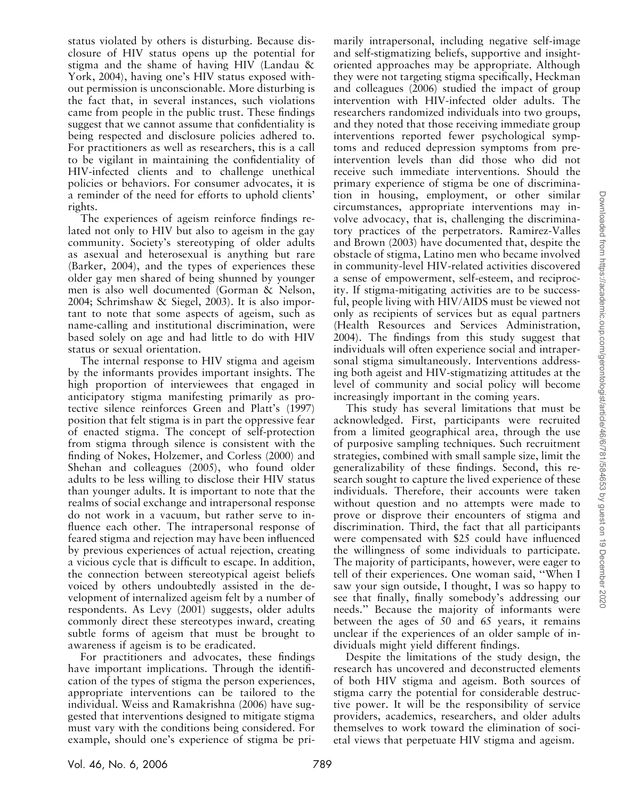status violated by others is disturbing. Because disclosure of HIV status opens up the potential for stigma and the shame of having HIV (Landau & York, 2004), having one's HIV status exposed without permission is unconscionable. More disturbing is the fact that, in several instances, such violations came from people in the public trust. These findings suggest that we cannot assume that confidentiality is being respected and disclosure policies adhered to. For practitioners as well as researchers, this is a call to be vigilant in maintaining the confidentiality of HIV-infected clients and to challenge unethical policies or behaviors. For consumer advocates, it is a reminder of the need for efforts to uphold clients' rights.

The experiences of ageism reinforce findings related not only to HIV but also to ageism in the gay community. Society's stereotyping of older adults as asexual and heterosexual is anything but rare (Barker, 2004), and the types of experiences these older gay men shared of being shunned by younger men is also well documented (Gorman & Nelson, 2004; Schrimshaw & Siegel, 2003). It is also important to note that some aspects of ageism, such as name-calling and institutional discrimination, were based solely on age and had little to do with HIV status or sexual orientation.

The internal response to HIV stigma and ageism by the informants provides important insights. The high proportion of interviewees that engaged in anticipatory stigma manifesting primarily as protective silence reinforces Green and Platt's (1997) position that felt stigma is in part the oppressive fear of enacted stigma. The concept of self-protection from stigma through silence is consistent with the finding of Nokes, Holzemer, and Corless (2000) and Shehan and colleagues (2005), who found older adults to be less willing to disclose their HIV status than younger adults. It is important to note that the realms of social exchange and intrapersonal response do not work in a vacuum, but rather serve to influence each other. The intrapersonal response of feared stigma and rejection may have been influenced by previous experiences of actual rejection, creating a vicious cycle that is difficult to escape. In addition, the connection between stereotypical ageist beliefs voiced by others undoubtedly assisted in the development of internalized ageism felt by a number of respondents. As Levy (2001) suggests, older adults commonly direct these stereotypes inward, creating subtle forms of ageism that must be brought to awareness if ageism is to be eradicated.

For practitioners and advocates, these findings have important implications. Through the identification of the types of stigma the person experiences, appropriate interventions can be tailored to the individual. Weiss and Ramakrishna (2006) have suggested that interventions designed to mitigate stigma must vary with the conditions being considered. For example, should one's experience of stigma be primarily intrapersonal, including negative self-image and self-stigmatizing beliefs, supportive and insightoriented approaches may be appropriate. Although they were not targeting stigma specifically, Heckman and colleagues (2006) studied the impact of group intervention with HIV-infected older adults. The researchers randomized individuals into two groups, and they noted that those receiving immediate group interventions reported fewer psychological symptoms and reduced depression symptoms from preintervention levels than did those who did not receive such immediate interventions. Should the primary experience of stigma be one of discrimination in housing, employment, or other similar circumstances, appropriate interventions may involve advocacy, that is, challenging the discriminatory practices of the perpetrators. Ramirez-Valles and Brown (2003) have documented that, despite the obstacle of stigma, Latino men who became involved in community-level HIV-related activities discovered a sense of empowerment, self-esteem, and reciprocity. If stigma-mitigating activities are to be successful, people living with HIV/AIDS must be viewed not only as recipients of services but as equal partners (Health Resources and Services Administration, 2004). The findings from this study suggest that individuals will often experience social and intrapersonal stigma simultaneously. Interventions addressing both ageist and HIV-stigmatizing attitudes at the level of community and social policy will become increasingly important in the coming years.

This study has several limitations that must be acknowledged. First, participants were recruited from a limited geographical area, through the use of purposive sampling techniques. Such recruitment strategies, combined with small sample size, limit the generalizability of these findings. Second, this research sought to capture the lived experience of these individuals. Therefore, their accounts were taken without question and no attempts were made to prove or disprove their encounters of stigma and discrimination. Third, the fact that all participants were compensated with \$25 could have influenced the willingness of some individuals to participate. The majority of participants, however, were eager to tell of their experiences. One woman said, ''When I saw your sign outside, I thought, I was so happy to see that finally, finally somebody's addressing our needs.'' Because the majority of informants were between the ages of 50 and 65 years, it remains unclear if the experiences of an older sample of individuals might yield different findings.

Despite the limitations of the study design, the research has uncovered and deconstructed elements of both HIV stigma and ageism. Both sources of stigma carry the potential for considerable destructive power. It will be the responsibility of service providers, academics, researchers, and older adults themselves to work toward the elimination of societal views that perpetuate HIV stigma and ageism.